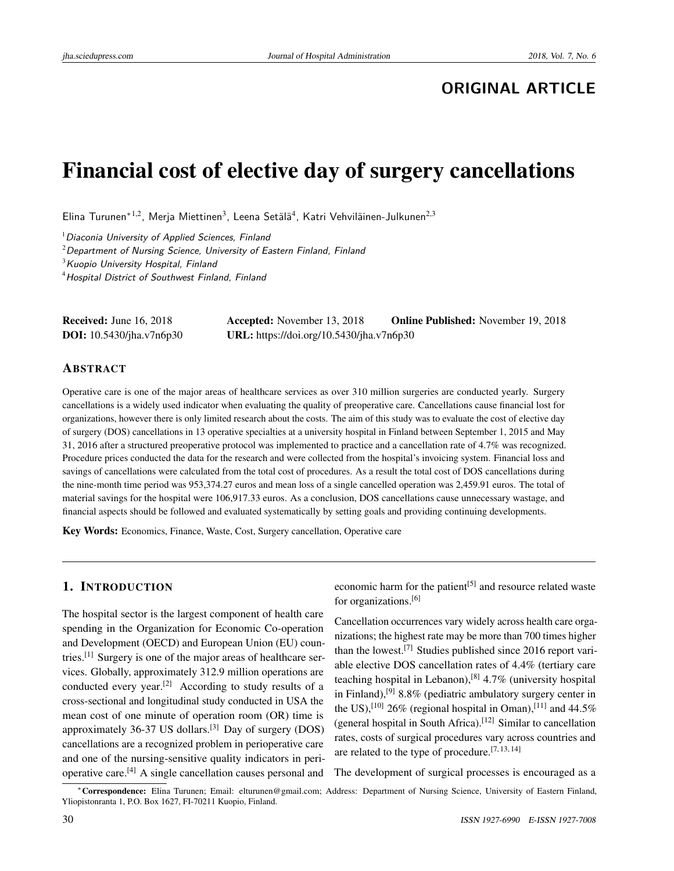# **ORIGINAL ARTICLE**

# Financial cost of elective day of surgery cancellations

Elina Turunen $^{\ast1,2}$ , Merja Miettinen $^3$ , Leena Setälä $^4$ , Katri Vehviläinen-Julkunen $^{2,3}$ 

 $<sup>1</sup>$ Diaconia University of Applied Sciences, Finland</sup>

 $2$ Department of Nursing Science, University of Eastern Finland, Finland

 $3$ Kuopio University Hospital, Finland

<sup>4</sup>Hospital District of Southwest Finland, Finland

| <b>Received:</b> June $16, 2018$ | <b>Accepted:</b> November 13, 2018       | <b>Online Published:</b> November 19, 2018 |
|----------------------------------|------------------------------------------|--------------------------------------------|
| <b>DOI:</b> 10.5430/jha.v7n6p30  | URL: https://doi.org/10.5430/jha.v7n6p30 |                                            |

## ABSTRACT

Operative care is one of the major areas of healthcare services as over 310 million surgeries are conducted yearly. Surgery cancellations is a widely used indicator when evaluating the quality of preoperative care. Cancellations cause financial lost for organizations, however there is only limited research about the costs. The aim of this study was to evaluate the cost of elective day of surgery (DOS) cancellations in 13 operative specialties at a university hospital in Finland between September 1, 2015 and May 31, 2016 after a structured preoperative protocol was implemented to practice and a cancellation rate of 4.7% was recognized. Procedure prices conducted the data for the research and were collected from the hospital's invoicing system. Financial loss and savings of cancellations were calculated from the total cost of procedures. As a result the total cost of DOS cancellations during the nine-month time period was 953,374.27 euros and mean loss of a single cancelled operation was 2,459.91 euros. The total of material savings for the hospital were 106,917.33 euros. As a conclusion, DOS cancellations cause unnecessary wastage, and financial aspects should be followed and evaluated systematically by setting goals and providing continuing developments.

Key Words: Economics, Finance, Waste, Cost, Surgery cancellation, Operative care

# 1. INTRODUCTION

The hospital sector is the largest component of health care spending in the Organization for Economic Co-operation and Development (OECD) and European Union (EU) countries.[\[1\]](#page-5-0) Surgery is one of the major areas of healthcare services. Globally, approximately 312.9 million operations are conducted every year.[\[2\]](#page-5-1) According to study results of a cross-sectional and longitudinal study conducted in USA the mean cost of one minute of operation room (OR) time is approximately  $36-37$  US dollars.<sup>[\[3\]](#page-5-2)</sup> Day of surgery (DOS) cancellations are a recognized problem in perioperative care and one of the nursing-sensitive quality indicators in perioperative care.[\[4\]](#page-5-3) A single cancellation causes personal and

economic harm for the patient<sup>[\[5\]](#page-5-4)</sup> and resource related waste for organizations.[\[6\]](#page-5-5)

Cancellation occurrences vary widely across health care organizations; the highest rate may be more than 700 times higher than the lowest.[\[7\]](#page-5-6) Studies published since 2016 report variable elective DOS cancellation rates of 4.4% (tertiary care teaching hospital in Lebanon),<sup>[\[8\]](#page-5-7)</sup>  $4.7\%$  (university hospital in Finland),<sup>[\[9\]](#page-5-8)</sup> 8.8% (pediatric ambulatory surgery center in the US),<sup>[\[10\]](#page-5-9)</sup> 26% (regional hospital in Oman),<sup>[\[11\]](#page-5-10)</sup> and 44.5% (general hospital in South Africa).<sup>[\[12\]](#page-5-11)</sup> Similar to cancellation rates, costs of surgical procedures vary across countries and are related to the type of procedure.<sup>[\[7,](#page-5-6) [13,](#page-5-12) [14\]](#page-5-13)</sup>

The development of surgical processes is encouraged as a

<sup>\*</sup>Correspondence: Elina Turunen; Email: elturunen@gmail.com; Address: Department of Nursing Science, University of Eastern Finland, Yliopistonranta 1, P.O. Box 1627, FI-70211 Kuopio, Finland.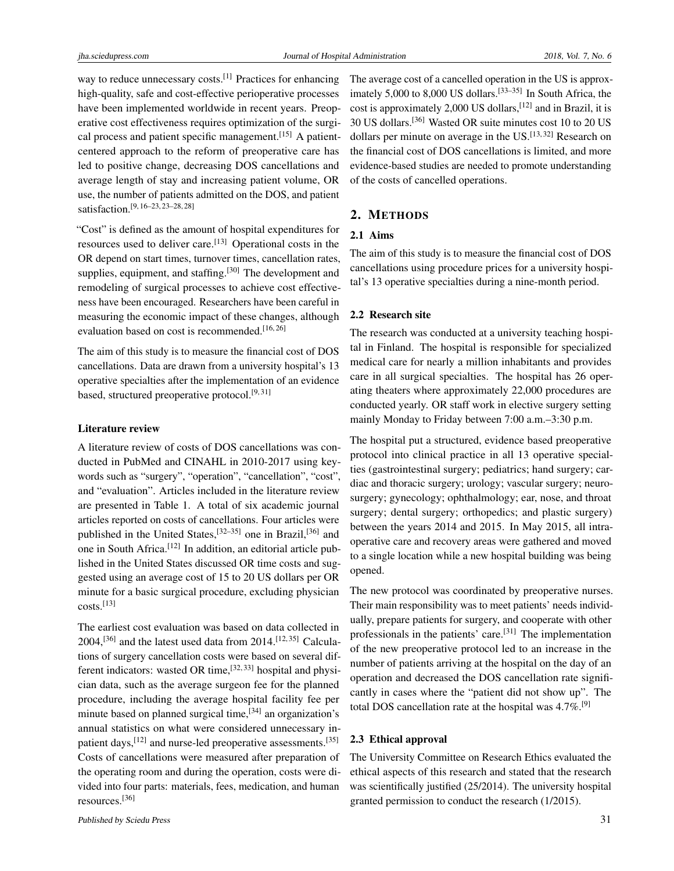way to reduce unnecessary costs.<sup>[\[1\]](#page-5-0)</sup> Practices for enhancing high-quality, safe and cost-effective perioperative processes have been implemented worldwide in recent years. Preoperative cost effectiveness requires optimization of the surgical process and patient specific management.[\[15\]](#page-6-0) A patientcentered approach to the reform of preoperative care has led to positive change, decreasing DOS cancellations and average length of stay and increasing patient volume, OR use, the number of patients admitted on the DOS, and patient satisfaction.[\[9,](#page-5-8) [16–](#page-6-1)[23,](#page-6-2) [23–](#page-6-2)[28,](#page-6-3) [28\]](#page-6-3)

"Cost" is defined as the amount of hospital expenditures for resources used to deliver care.<sup>[\[13\]](#page-5-12)</sup> Operational costs in the OR depend on start times, turnover times, cancellation rates, supplies, equipment, and staffing.<sup>[\[30\]](#page-6-4)</sup> The development and remodeling of surgical processes to achieve cost effectiveness have been encouraged. Researchers have been careful in measuring the economic impact of these changes, although evaluation based on cost is recommended.<sup>[\[16,](#page-6-1)[26\]](#page-6-5)</sup>

The aim of this study is to measure the financial cost of DOS cancellations. Data are drawn from a university hospital's 13 operative specialties after the implementation of an evidence based, structured preoperative protocol.<sup>[\[9,](#page-5-8)[31\]](#page-6-6)</sup>

#### Literature review

A literature review of costs of DOS cancellations was conducted in PubMed and CINAHL in 2010-2017 using keywords such as "surgery", "operation", "cancellation", "cost", and "evaluation". Articles included in the literature review are presented in Table 1. A total of six academic journal articles reported on costs of cancellations. Four articles were published in the United States,<sup>[\[32–](#page-6-7)[35\]](#page-6-8)</sup> one in Brazil,<sup>[\[36\]](#page-6-9)</sup> and one in South Africa.<sup>[\[12\]](#page-5-11)</sup> In addition, an editorial article published in the United States discussed OR time costs and suggested using an average cost of 15 to 20 US dollars per OR minute for a basic surgical procedure, excluding physician costs.[\[13\]](#page-5-12)

The earliest cost evaluation was based on data collected in  $2004$ ,<sup>[\[36\]](#page-6-9)</sup> and the latest used data from  $2014$ .<sup>[\[12,](#page-5-11)[35\]](#page-6-8)</sup> Calculations of surgery cancellation costs were based on several different indicators: wasted OR time,  $[32, 33]$  $[32, 33]$  $[32, 33]$  hospital and physician data, such as the average surgeon fee for the planned procedure, including the average hospital facility fee per minute based on planned surgical time,<sup>[\[34\]](#page-6-11)</sup> an organization's annual statistics on what were considered unnecessary in-patient days,<sup>[\[12\]](#page-5-11)</sup> and nurse-led preoperative assessments.<sup>[\[35\]](#page-6-8)</sup> Costs of cancellations were measured after preparation of the operating room and during the operation, costs were divided into four parts: materials, fees, medication, and human resources.[\[36\]](#page-6-9)

The average cost of a cancelled operation in the US is approx-imately 5,000 to 8,000 US dollars.<sup>[\[33](#page-6-10)-35]</sup> In South Africa, the cost is approximately 2,000 US dollars, <sup>[\[12\]](#page-5-11)</sup> and in Brazil, it is 30 US dollars.[\[36\]](#page-6-9) Wasted OR suite minutes cost 10 to 20 US dollars per minute on average in the  $US$ .<sup>[\[13,](#page-5-12)[32\]](#page-6-7)</sup> Research on the financial cost of DOS cancellations is limited, and more evidence-based studies are needed to promote understanding of the costs of cancelled operations.

## 2. METHODS

# 2.1 Aims

The aim of this study is to measure the financial cost of DOS cancellations using procedure prices for a university hospital's 13 operative specialties during a nine-month period.

#### 2.2 Research site

The research was conducted at a university teaching hospital in Finland. The hospital is responsible for specialized medical care for nearly a million inhabitants and provides care in all surgical specialties. The hospital has 26 operating theaters where approximately 22,000 procedures are conducted yearly. OR staff work in elective surgery setting mainly Monday to Friday between 7:00 a.m.–3:30 p.m.

The hospital put a structured, evidence based preoperative protocol into clinical practice in all 13 operative specialties (gastrointestinal surgery; pediatrics; hand surgery; cardiac and thoracic surgery; urology; vascular surgery; neurosurgery; gynecology; ophthalmology; ear, nose, and throat surgery; dental surgery; orthopedics; and plastic surgery) between the years 2014 and 2015. In May 2015, all intraoperative care and recovery areas were gathered and moved to a single location while a new hospital building was being opened.

The new protocol was coordinated by preoperative nurses. Their main responsibility was to meet patients' needs individually, prepare patients for surgery, and cooperate with other professionals in the patients' care.<sup>[\[31\]](#page-6-6)</sup> The implementation of the new preoperative protocol led to an increase in the number of patients arriving at the hospital on the day of an operation and decreased the DOS cancellation rate significantly in cases where the "patient did not show up". The total DOS cancellation rate at the hospital was  $4.7\%$ .<sup>[\[9\]](#page-5-8)</sup>

#### 2.3 Ethical approval

The University Committee on Research Ethics evaluated the ethical aspects of this research and stated that the research was scientifically justified (25/2014). The university hospital granted permission to conduct the research (1/2015).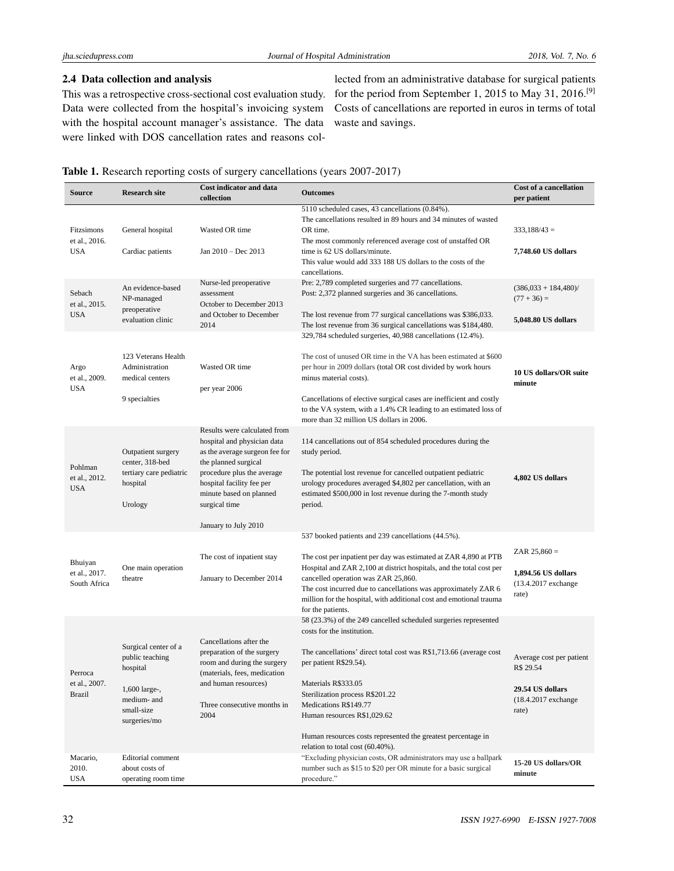# 2.4 Data collection and analysis

This was a retrospective cross-sectional cost evaluation study. Data were collected from the hospital's invoicing system with the hospital account manager's assistance. The data were linked with DOS cancellation rates and reasons col-

lected from an administrative database for surgical patients for the period from September 1, 2015 to May 31, 2016.[\[9\]](#page-5-8) Costs of cancellations are reported in euros in terms of total waste and savings.

## Table 1. Research reporting costs of surgery cancellations (years 2007-2017)

| <b>Source</b>                                         | <b>Research site</b>                                                                                                                   | <b>Cost indicator and data</b><br>collection                                                                                                                                                                                                         | <b>Outcomes</b>                                                                                                                                                                                                                                                                                                                                                                                                                                                                         | Cost of a cancellation<br>per patient                                                       |
|-------------------------------------------------------|----------------------------------------------------------------------------------------------------------------------------------------|------------------------------------------------------------------------------------------------------------------------------------------------------------------------------------------------------------------------------------------------------|-----------------------------------------------------------------------------------------------------------------------------------------------------------------------------------------------------------------------------------------------------------------------------------------------------------------------------------------------------------------------------------------------------------------------------------------------------------------------------------------|---------------------------------------------------------------------------------------------|
| Fitzsimons<br>et al., 2016.<br><b>USA</b>             | General hospital<br>Cardiac patients                                                                                                   | Wasted OR time<br>Jan $2010 - Dec$ 2013                                                                                                                                                                                                              | 5110 scheduled cases, 43 cancellations (0.84%).<br>The cancellations resulted in 89 hours and 34 minutes of wasted<br>OR time.<br>The most commonly referenced average cost of unstaffed OR<br>time is 62 US dollars/minute.<br>This value would add 333 188 US dollars to the costs of the<br>cancellations.                                                                                                                                                                           | $333,188/43 =$<br>7,748.60 US dollars                                                       |
| Sebach<br>et al., 2015.<br><b>USA</b>                 | An evidence-based<br>NP-managed<br>preoperative<br>evaluation clinic                                                                   | Nurse-led preoperative<br>assessment<br>October to December 2013<br>and October to December<br>2014                                                                                                                                                  | Pre: 2,789 completed surgeries and 77 cancellations.<br>Post: 2,372 planned surgeries and 36 cancellations.<br>The lost revenue from 77 surgical cancellations was \$386,033.<br>The lost revenue from 36 surgical cancellations was \$184,480.                                                                                                                                                                                                                                         | $(386,033 + 184,480)$<br>$(77 + 36) =$<br>5,048.80 US dollars                               |
| Argo<br>et al., 2009.<br><b>USA</b>                   | 123 Veterans Health<br>Administration<br>medical centers<br>9 specialties                                                              | Wasted OR time<br>per year 2006                                                                                                                                                                                                                      | 329,784 scheduled surgeries, 40,988 cancellations (12.4%).<br>The cost of unused OR time in the VA has been estimated at \$600<br>per hour in 2009 dollars (total OR cost divided by work hours<br>minus material costs).<br>Cancellations of elective surgical cases are inefficient and costly<br>to the VA system, with a 1.4% CR leading to an estimated loss of<br>more than 32 million US dollars in 2006.                                                                        | 10 US dollars/OR suite<br>minute                                                            |
| Pohlman<br>et al., 2012.<br><b>USA</b>                | Outpatient surgery<br>center, 318-bed<br>tertiary care pediatric<br>hospital<br>Urology                                                | Results were calculated from<br>hospital and physician data<br>as the average surgeon fee for<br>the planned surgical<br>procedure plus the average<br>hospital facility fee per<br>minute based on planned<br>surgical time<br>January to July 2010 | 114 cancellations out of 854 scheduled procedures during the<br>study period.<br>The potential lost revenue for cancelled outpatient pediatric<br>urology procedures averaged \$4,802 per cancellation, with an<br>estimated \$500,000 in lost revenue during the 7-month study<br>period.                                                                                                                                                                                              | 4,802 US dollars                                                                            |
| Bhuiyan<br>et al., 2017.<br>South Africa              | One main operation<br>theatre                                                                                                          | The cost of inpatient stay<br>January to December 2014                                                                                                                                                                                               | 537 booked patients and 239 cancellations (44.5%).<br>The cost per inpatient per day was estimated at ZAR 4,890 at PTB<br>Hospital and ZAR 2,100 at district hospitals, and the total cost per<br>cancelled operation was ZAR 25,860.<br>The cost incurred due to cancellations was approximately ZAR 6<br>million for the hospital, with additional cost and emotional trauma<br>for the patients.                                                                                     | ZAR $25,860 =$<br>1,894.56 US dollars<br>(13.4.2017 exchange<br>rate)                       |
| Perroca<br>et al., 2007.<br><b>Brazil</b><br>Macario, | Surgical center of a<br>public teaching<br>hospital<br>1,600 large-,<br>medium- and<br>small-size<br>surgeries/mo<br>Editorial comment | Cancellations after the<br>preparation of the surgery<br>room and during the surgery<br>(materials, fees, medication<br>and human resources)<br>Three consecutive months in<br>2004                                                                  | 58 (23.3%) of the 249 cancelled scheduled surgeries represented<br>costs for the institution.<br>The cancellations' direct total cost was R\$1,713.66 (average cost<br>per patient R\$29.54).<br>Materials R\$333.05<br>Sterilization process R\$201.22<br>Medications R\$149.77<br>Human resources R\$1,029.62<br>Human resources costs represented the greatest percentage in<br>relation to total cost (60.40%).<br>"Excluding physician costs, OR administrators may use a ballpark | Average cost per patient<br>R\$ 29.54<br>29.54 US dollars<br>$(18.4.2017$ exchange<br>rate) |
| 2010.<br><b>USA</b>                                   | about costs of<br>operating room time                                                                                                  |                                                                                                                                                                                                                                                      | number such as \$15 to \$20 per OR minute for a basic surgical<br>procedure."                                                                                                                                                                                                                                                                                                                                                                                                           | 15-20 US dollars/OR<br>minute                                                               |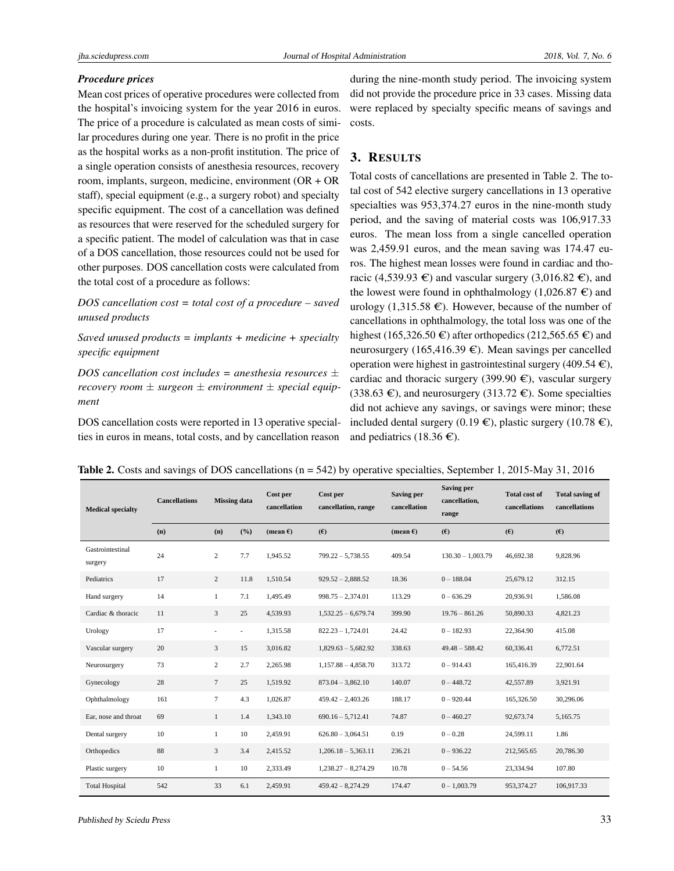#### *Procedure prices*

Mean cost prices of operative procedures were collected from the hospital's invoicing system for the year 2016 in euros. The price of a procedure is calculated as mean costs of similar procedures during one year. There is no profit in the price as the hospital works as a non-profit institution. The price of a single operation consists of anesthesia resources, recovery room, implants, surgeon, medicine, environment (OR + OR staff), special equipment (e.g., a surgery robot) and specialty specific equipment. The cost of a cancellation was defined as resources that were reserved for the scheduled surgery for a specific patient. The model of calculation was that in case of a DOS cancellation, those resources could not be used for other purposes. DOS cancellation costs were calculated from the total cost of a procedure as follows:

*DOS cancellation cost = total cost of a procedure – saved unused products*

*Saved unused products = implants + medicine + specialty specific equipment*

*DOS cancellation cost includes = anesthesia resources* ± *recovery room* ± *surgeon* ± *environment* ± *special equipment*

DOS cancellation costs were reported in 13 operative specialties in euros in means, total costs, and by cancellation reason

during the nine-month study period. The invoicing system did not provide the procedure price in 33 cases. Missing data were replaced by specialty specific means of savings and costs.

# 3. RESULTS

Total costs of cancellations are presented in Table 2. The total cost of 542 elective surgery cancellations in 13 operative specialties was 953,374.27 euros in the nine-month study period, and the saving of material costs was 106,917.33 euros. The mean loss from a single cancelled operation was 2,459.91 euros, and the mean saving was 174.47 euros. The highest mean losses were found in cardiac and thoracic (4,539.93  $\epsilon$ ) and vascular surgery (3,016.82  $\epsilon$ ), and the lowest were found in ophthalmology  $(1,026.87 \in \mathbb{R})$  and urology (1,315.58  $\epsilon$ ). However, because of the number of cancellations in ophthalmology, the total loss was one of the highest (165,326.50  $\in$ ) after orthopedics (212,565.65  $\in$ ) and neurosurgery (165,416.39  $\epsilon$ ). Mean savings per cancelled operation were highest in gastrointestinal surgery (409.54  $\epsilon$ ), cardiac and thoracic surgery (399.90  $\epsilon$ ), vascular surgery (338.63  $\epsilon$ ), and neurosurgery (313.72  $\epsilon$ ). Some specialties did not achieve any savings, or savings were minor; these included dental surgery (0.19  $\epsilon$ ), plastic surgery (10.78  $\epsilon$ ), and pediatrics (18.36  $\epsilon$ ).

|  | Table 2. Costs and savings of DOS cancellations ( $n = 542$ ) by operative specialties, September 1, 2015-May 31, 2016 |  |  |  |  |
|--|------------------------------------------------------------------------------------------------------------------------|--|--|--|--|
|  |                                                                                                                        |  |  |  |  |

| <b>Medical specialty</b>    | <b>Cancellations</b> | <b>Missing</b> data      |                          | Cost per<br>cancellation | Cost per<br>cancellation, range | <b>Saving per</b><br>cancellation |                     | <b>Total cost of</b><br>cancellations | <b>Total saving of</b><br>cancellations |
|-----------------------------|----------------------|--------------------------|--------------------------|--------------------------|---------------------------------|-----------------------------------|---------------------|---------------------------------------|-----------------------------------------|
|                             | (n)                  | (n)                      | (%)                      | (mean $\epsilon$ )       | (E)                             | (mean $\epsilon$ )                | (E)                 | (E)                                   | (E)                                     |
| Gastrointestinal<br>surgery | 24                   | 2                        | 7.7                      | 1,945.52                 | $799.22 - 5,738.55$             | 409.54                            | $130.30 - 1.003.79$ | 46,692.38                             | 9,828.96                                |
| Pediatrics                  | 17                   | $\overline{c}$           | 11.8                     | 1,510.54                 | $929.52 - 2,888.52$             | 18.36                             | $0 - 188.04$        | 25,679.12                             | 312.15                                  |
| Hand surgery                | 14                   | 1                        | 7.1                      | 1,495.49                 | $998.75 - 2,374.01$             | 113.29                            | $0 - 636.29$        | 20,936.91                             | 1,586.08                                |
| Cardiac & thoracic          | 11                   | 3                        | 25                       | 4,539.93                 | $1,532.25 - 6,679.74$           | 399.90                            | $19.76 - 861.26$    | 50,890.33                             | 4,821.23                                |
| Urology                     | 17                   | $\overline{\phantom{a}}$ | $\overline{\phantom{a}}$ | 1,315.58                 | $822.23 - 1,724.01$             | 24.42                             | $0 - 182.93$        | 22,364.90                             | 415.08                                  |
| Vascular surgery            | 20                   | 3                        | 15                       | 3,016.82                 | $1,829.63 - 5,682.92$           | 338.63                            | $49.48 - 588.42$    | 60,336.41                             | 6,772.51                                |
| Neurosurgery                | 73                   | $\overline{2}$           | 2.7                      | 2,265.98                 | $1,157.88 - 4,858.70$           | 313.72                            | $0 - 914.43$        | 165,416.39                            | 22,901.64                               |
| Gynecology                  | 28                   | $7\phantom{.0}$          | 25                       | 1.519.92                 | $873.04 - 3.862.10$             | 140.07                            | $0 - 448.72$        | 42,557.89                             | 3,921.91                                |
| Ophthalmology               | 161                  | $\tau$                   | 4.3                      | 1,026.87                 | $459.42 - 2,403.26$             | 188.17                            | $0 - 920.44$        | 165,326.50                            | 30,296.06                               |
| Ear, nose and throat        | 69                   | 1                        | 1.4                      | 1,343.10                 | $690.16 - 5,712.41$             | 74.87                             | $0 - 460.27$        | 92,673.74                             | 5,165.75                                |
| Dental surgery              | 10                   | 1                        | 10                       | 2.459.91                 | $626.80 - 3,064.51$             | 0.19                              | $0 - 0.28$          | 24,599.11                             | 1.86                                    |
| Orthopedics                 | 88                   | 3                        | 3.4                      | 2,415.52                 | $1,206.18 - 5,363.11$           | 236.21                            | $0 - 936.22$        | 212,565.65                            | 20,786.30                               |
| Plastic surgery             | 10                   | $\mathbf{1}$             | 10                       | 2,333.49                 | $1,238.27 - 8,274.29$           | 10.78                             | $0 - 54.56$         | 23,334.94                             | 107.80                                  |
| <b>Total Hospital</b>       | 542                  | 33                       | 6.1                      | 2,459.91                 | $459.42 - 8.274.29$             | 174.47                            | $0 - 1,003.79$      | 953,374.27                            | 106,917.33                              |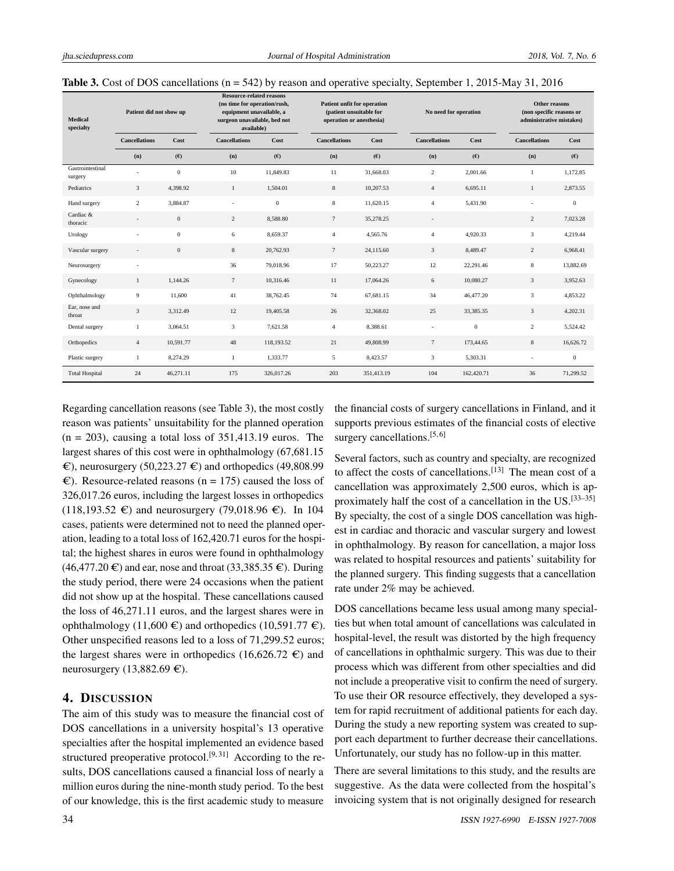|  | <b>Table 3.</b> Cost of DOS cancellations ( $n = 542$ ) by reason and operative specialty, September 1, 2015-May 31, 2016 |
|--|---------------------------------------------------------------------------------------------------------------------------|
|--|---------------------------------------------------------------------------------------------------------------------------|

| <b>Medical</b><br>specialty | Patient did not show up      |              | <b>Resource-related reasons</b><br>(no time for operation/rush,<br>equipment unavailable, a<br>surgeon unavailable, bed not<br>available) |              |                      | Patient unfit for operation<br>(patient unsuitable for<br>operation or anesthesia) |                          | No need for operation |                      | Other reasons<br>(non specific reasons or<br>administrative mistakes) |  |
|-----------------------------|------------------------------|--------------|-------------------------------------------------------------------------------------------------------------------------------------------|--------------|----------------------|------------------------------------------------------------------------------------|--------------------------|-----------------------|----------------------|-----------------------------------------------------------------------|--|
|                             | <b>Cancellations</b>         | Cost         | <b>Cancellations</b>                                                                                                                      | Cost         | <b>Cancellations</b> | Cost                                                                               | <b>Cancellations</b>     | Cost                  | <b>Cancellations</b> | Cost                                                                  |  |
|                             | (n)                          | (E)          | (n)                                                                                                                                       | (E)          | (n)                  | (E)                                                                                | (n)                      | (E)                   | (n)                  | (E)                                                                   |  |
| Gastrointestinal<br>surgery | ٠                            | $\mathbf{0}$ | 10                                                                                                                                        | 11.849.83    | 11                   | 31,668.03                                                                          | $\overline{c}$           | 2.001.66              | 1                    | 1.172.85                                                              |  |
| Pediatrics                  | 3                            | 4,398.92     | $\mathbf{1}$                                                                                                                              | 1,504.01     | $\,$ 8 $\,$          | 10,207.53                                                                          | $\overline{4}$           | 6,695.11              | $\mathbf{1}$         | 2,873.55                                                              |  |
| Hand surgery                | $\overline{c}$               | 3,884.87     |                                                                                                                                           | $\mathbf{0}$ | $\,$ 8 $\,$          | 11.620.15                                                                          | $\overline{4}$           | 5.431.90              |                      | $\overline{0}$                                                        |  |
| Cardiac &<br>thoracic       | $\qquad \qquad \blacksquare$ | $\mathbf{0}$ | $\overline{c}$                                                                                                                            | 8.588.80     | $7\phantom{.0}$      | 35,278.25                                                                          | $\overline{\phantom{a}}$ |                       | $\overline{2}$       | 7.023.28                                                              |  |
| Urology                     | ä,                           | $\mathbf{0}$ | 6                                                                                                                                         | 8.659.37     | $\overline{4}$       | 4.565.76                                                                           | $\overline{4}$           | 4.920.33              | 3                    | 4.219.44                                                              |  |
| Vascular surgery            | ÷                            | $\mathbf{0}$ | 8                                                                                                                                         | 20,762.93    | $7\phantom{.0}$      | 24,115.60                                                                          | $\mathfrak{Z}$           | 8,489.47              | $\overline{c}$       | 6,968.41                                                              |  |
| Neurosurgery                | ÷,                           |              | 36                                                                                                                                        | 79,018.96    | 17                   | 50,223.27                                                                          | 12                       | 22.291.46             | $\,$ 8 $\,$          | 13,882.69                                                             |  |
| Gynecology                  | $\mathbf{1}$                 | 1,144.26     | $7\phantom{.0}$                                                                                                                           | 10,316.46    | 11                   | 17,064.26                                                                          | 6                        | 10,080.27             | 3                    | 3,952.63                                                              |  |
| Ophthalmology               | 9                            | 11,600       | 41                                                                                                                                        | 38,762.45    | 74                   | 67,681.15                                                                          | 34                       | 46,477.20             | 3                    | 4,853.22                                                              |  |
| Ear, nose and<br>throat     | $\mathfrak{Z}$               | 3,312.49     | 12                                                                                                                                        | 19,405.58    | 26                   | 32,368.02                                                                          | 25                       | 33,385.35             | 3                    | 4,202.31                                                              |  |
| Dental surgery              | 1                            | 3,064.51     | 3                                                                                                                                         | 7,621.58     | $\overline{4}$       | 8,388.61                                                                           |                          | $\mathbf{0}$          | 2                    | 5,524.42                                                              |  |
| Orthopedics                 | $\overline{4}$               | 10,591.77    | 48                                                                                                                                        | 118,193.52   | 21                   | 49,808.99                                                                          | $7\overline{ }$          | 173,44.65             | $\,$ 8 $\,$          | 16,626.72                                                             |  |
| Plastic surgery             | 1                            | 8,274.29     | $\mathbf{1}$                                                                                                                              | 1,333.77     | 5                    | 8,423.57                                                                           | 3                        | 5,303.31              | $\sim$               | $\boldsymbol{0}$                                                      |  |
| <b>Total Hospital</b>       | 24                           | 46,271.11    | 175                                                                                                                                       | 326,017.26   | 203                  | 351,413.19                                                                         | 104                      | 162,420.71            | 36                   | 71,299.52                                                             |  |

Regarding cancellation reasons (see Table 3), the most costly reason was patients' unsuitability for the planned operation  $(n = 203)$ , causing a total loss of 351,413.19 euros. The largest shares of this cost were in ophthalmology (67,681.15  $\epsilon$ ), neurosurgery (50,223.27  $\epsilon$ ) and orthopedics (49,808.99  $\epsilon$ ). Resource-related reasons (n = 175) caused the loss of 326,017.26 euros, including the largest losses in orthopedics  $(118,193.52 \text{ } \infty)$  and neurosurgery (79,018.96  $\infty$ ). In 104 cases, patients were determined not to need the planned operation, leading to a total loss of 162,420.71 euros for the hospital; the highest shares in euros were found in ophthalmology  $(46,477.20 \in \mathcal{E})$  and ear, nose and throat  $(33,385.35 \in \mathcal{E})$ . During the study period, there were 24 occasions when the patient did not show up at the hospital. These cancellations caused the loss of 46,271.11 euros, and the largest shares were in ophthalmology (11,600  $\in$ ) and orthopedics (10,591.77  $\in$ ). Other unspecified reasons led to a loss of 71,299.52 euros; the largest shares were in orthopedics (16,626.72  $\epsilon$ ) and neurosurgery (13,882.69  $\epsilon$ ).

# 4. DISCUSSION

The aim of this study was to measure the financial cost of DOS cancellations in a university hospital's 13 operative specialties after the hospital implemented an evidence based structured preoperative protocol.<sup>[\[9,](#page-5-8)[31\]](#page-6-6)</sup> According to the results, DOS cancellations caused a financial loss of nearly a million euros during the nine-month study period. To the best of our knowledge, this is the first academic study to measure the financial costs of surgery cancellations in Finland, and it supports previous estimates of the financial costs of elective surgery cancellations.<sup>[\[5,](#page-5-4) [6\]](#page-5-5)</sup>

Several factors, such as country and specialty, are recognized to affect the costs of cancellations.<sup>[\[13\]](#page-5-12)</sup> The mean cost of a cancellation was approximately 2,500 euros, which is approximately half the cost of a cancellation in the US.[\[33–](#page-6-10)[35\]](#page-6-8) By specialty, the cost of a single DOS cancellation was highest in cardiac and thoracic and vascular surgery and lowest in ophthalmology. By reason for cancellation, a major loss was related to hospital resources and patients' suitability for the planned surgery. This finding suggests that a cancellation rate under 2% may be achieved.

DOS cancellations became less usual among many specialties but when total amount of cancellations was calculated in hospital-level, the result was distorted by the high frequency of cancellations in ophthalmic surgery. This was due to their process which was different from other specialties and did not include a preoperative visit to confirm the need of surgery. To use their OR resource effectively, they developed a system for rapid recruitment of additional patients for each day. During the study a new reporting system was created to support each department to further decrease their cancellations. Unfortunately, our study has no follow-up in this matter.

There are several limitations to this study, and the results are suggestive. As the data were collected from the hospital's invoicing system that is not originally designed for research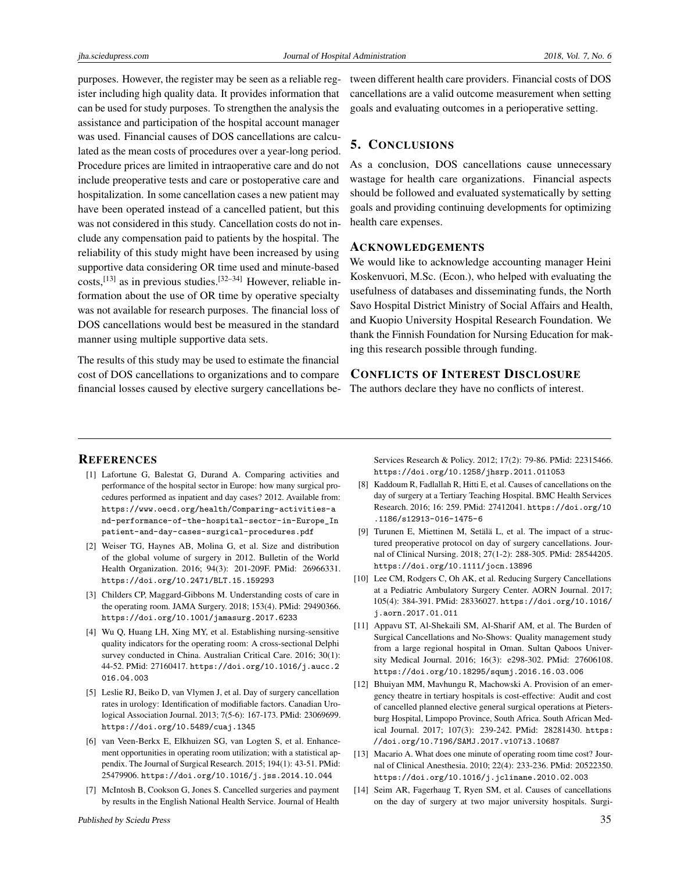purposes. However, the register may be seen as a reliable register including high quality data. It provides information that can be used for study purposes. To strengthen the analysis the assistance and participation of the hospital account manager was used. Financial causes of DOS cancellations are calculated as the mean costs of procedures over a year-long period. Procedure prices are limited in intraoperative care and do not include preoperative tests and care or postoperative care and hospitalization. In some cancellation cases a new patient may have been operated instead of a cancelled patient, but this was not considered in this study. Cancellation costs do not include any compensation paid to patients by the hospital. The reliability of this study might have been increased by using supportive data considering OR time used and minute-based costs,<sup>[\[13\]](#page-5-12)</sup> as in previous studies.<sup>[\[32](#page-6-7)-34]</sup> However, reliable information about the use of OR time by operative specialty was not available for research purposes. The financial loss of DOS cancellations would best be measured in the standard manner using multiple supportive data sets.

The results of this study may be used to estimate the financial cost of DOS cancellations to organizations and to compare financial losses caused by elective surgery cancellations between different health care providers. Financial costs of DOS cancellations are a valid outcome measurement when setting goals and evaluating outcomes in a perioperative setting.

# 5. CONCLUSIONS

As a conclusion, DOS cancellations cause unnecessary wastage for health care organizations. Financial aspects should be followed and evaluated systematically by setting goals and providing continuing developments for optimizing health care expenses.

#### ACKNOWLEDGEMENTS

We would like to acknowledge accounting manager Heini Koskenvuori, M.Sc. (Econ.), who helped with evaluating the usefulness of databases and disseminating funds, the North Savo Hospital District Ministry of Social Affairs and Health, and Kuopio University Hospital Research Foundation. We thank the Finnish Foundation for Nursing Education for making this research possible through funding.

# CONFLICTS OF INTEREST DISCLOSURE

The authors declare they have no conflicts of interest.

#### **REFERENCES**

- <span id="page-5-0"></span>[1] Lafortune G, Balestat G, Durand A. Comparing activities and performance of the hospital sector in Europe: how many surgical procedures performed as inpatient and day cases? 2012. Available from: [https://www.oecd.org/health/Comparing-activities-a]( https://www.oecd.org/health/Comparing-activities-and-performance-of-the-hospital-sector-in-Europe_Inpatient-and-day-cases-surgical-procedures.pdf) [nd-performance-of-the-hospital-sector-in-Europe\\_In]( https://www.oecd.org/health/Comparing-activities-and-performance-of-the-hospital-sector-in-Europe_Inpatient-and-day-cases-surgical-procedures.pdf) [patient-and-day-cases-surgical-procedures.pdf]( https://www.oecd.org/health/Comparing-activities-and-performance-of-the-hospital-sector-in-Europe_Inpatient-and-day-cases-surgical-procedures.pdf)
- <span id="page-5-1"></span>[2] Weiser TG, Haynes AB, Molina G, et al. Size and distribution of the global volume of surgery in 2012. Bulletin of the World Health Organization. 2016; 94(3): 201-209F. PMid: 26966331. <https://doi.org/10.2471/BLT.15.159293>
- <span id="page-5-2"></span>[3] Childers CP, Maggard-Gibbons M. Understanding costs of care in the operating room. JAMA Surgery. 2018; 153(4). PMid: 29490366. <https://doi.org/10.1001/jamasurg.2017.6233>
- <span id="page-5-3"></span>[4] Wu Q, Huang LH, Xing MY, et al. Establishing nursing-sensitive quality indicators for the operating room: A cross-sectional Delphi survey conducted in China. Australian Critical Care. 2016; 30(1): 44-52. PMid: 27160417. [https://doi.org/10.1016/j.aucc.2](https://doi.org/10.1016/j.aucc.2016.04.003) [016.04.003](https://doi.org/10.1016/j.aucc.2016.04.003)
- <span id="page-5-4"></span>[5] Leslie RJ, Beiko D, van Vlymen J, et al. Day of surgery cancellation rates in urology: Identification of modifiable factors. Canadian Urological Association Journal. 2013; 7(5-6): 167-173. PMid: 23069699. <https://doi.org/10.5489/cuaj.1345>
- <span id="page-5-5"></span>[6] van Veen-Berkx E, Elkhuizen SG, van Logten S, et al. Enhancement opportunities in operating room utilization; with a statistical appendix. The Journal of Surgical Research. 2015; 194(1): 43-51. PMid: 25479906. <https://doi.org/10.1016/j.jss.2014.10.044>
- <span id="page-5-6"></span>[7] McIntosh B, Cookson G, Jones S. Cancelled surgeries and payment by results in the English National Health Service. Journal of Health

Services Research & Policy. 2012; 17(2): 79-86. PMid: 22315466. <https://doi.org/10.1258/jhsrp.2011.011053>

- <span id="page-5-7"></span>[8] Kaddoum R, Fadlallah R, Hitti E, et al. Causes of cancellations on the day of surgery at a Tertiary Teaching Hospital. BMC Health Services Research. 2016; 16: 259. PMid: 27412041. [https://doi.org/10](https://doi.org/10.1186/s12913-016-1475-6) [.1186/s12913-016-1475-6](https://doi.org/10.1186/s12913-016-1475-6)
- <span id="page-5-8"></span>[9] Turunen E, Miettinen M, Setälä L, et al. The impact of a structured preoperative protocol on day of surgery cancellations. Journal of Clinical Nursing. 2018; 27(1-2): 288-305. PMid: 28544205. <https://doi.org/10.1111/jocn.13896>
- <span id="page-5-9"></span>[10] Lee CM, Rodgers C, Oh AK, et al. Reducing Surgery Cancellations at a Pediatric Ambulatory Surgery Center. AORN Journal. 2017; 105(4): 384-391. PMid: 28336027. [https://doi.org/10.1016/](https://doi.org/10.1016/j.aorn.2017.01.011) [j.aorn.2017.01.011](https://doi.org/10.1016/j.aorn.2017.01.011)
- <span id="page-5-10"></span>[11] Appavu ST, Al-Shekaili SM, Al-Sharif AM, et al. The Burden of Surgical Cancellations and No-Shows: Quality management study from a large regional hospital in Oman. Sultan Qaboos University Medical Journal. 2016; 16(3): e298-302. PMid: 27606108. <https://doi.org/10.18295/squmj.2016.16.03.006>
- <span id="page-5-11"></span>[12] Bhuiyan MM, Mavhungu R, Machowski A. Provision of an emergency theatre in tertiary hospitals is cost-effective: Audit and cost of cancelled planned elective general surgical operations at Pietersburg Hospital, Limpopo Province, South Africa. South African Medical Journal. 2017; 107(3): 239-242. PMid: 28281430. [https:](https://doi.org/10.7196/SAMJ.2017.v107i3.10687) [//doi.org/10.7196/SAMJ.2017.v107i3.10687](https://doi.org/10.7196/SAMJ.2017.v107i3.10687)
- <span id="page-5-12"></span>[13] Macario A. What does one minute of operating room time cost? Journal of Clinical Anesthesia. 2010; 22(4): 233-236. PMid: 20522350. <https://doi.org/10.1016/j.jclinane.2010.02.003>
- <span id="page-5-13"></span>[14] Seim AR, Fagerhaug T, Ryen SM, et al. Causes of cancellations on the day of surgery at two major university hospitals. Surgi-